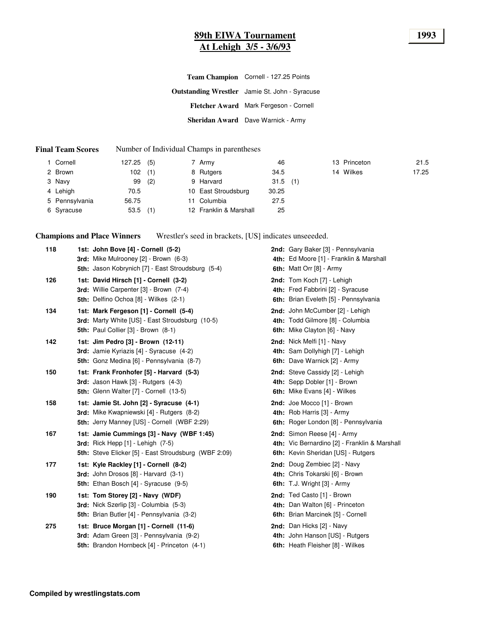# **89th EIWA Tournament 1993 At Lehigh 3/5 - 3/6/93**

| Team Champion Cornell - 127.25 Points                 |
|-------------------------------------------------------|
| <b>Outstanding Wrestler</b> Jamie St. John - Syracuse |
| Fletcher Award Mark Fergeson - Cornell                |
| Sheridan Award Dave Warnick - Army                    |

#### **Final Team Scores** Number of Individual Champs in parentheses

| Cornell        | 127.25 | (5) | 7 Army                 | 46         |  | 13 Princeton | 21.5  |
|----------------|--------|-----|------------------------|------------|--|--------------|-------|
| 2 Brown        | 102    | (1) | 8 Rutgers              | 34.5       |  | 14 Wilkes    | 17.25 |
| 3 Navy         | 99     | (2) | 9 Harvard              | $31.5$ (1) |  |              |       |
| 4 Lehigh       | 70.5   |     | 10 East Stroudsburg    | 30.25      |  |              |       |
| 5 Pennsylvania | 56.75  |     | 11 Columbia            | 27.5       |  |              |       |
| 6 Syracuse     | 53.5   | (1) | 12 Franklin & Marshall | 25         |  |              |       |

**Champions and Place Winners** Wrestler's seed in brackets, [US] indicates unseeeded.

| 118 | 1st: John Bove [4] - Cornell (5-2)<br>3rd: Mike Mulrooney [2] - Brown (6-3)<br>5th: Jason Kobrynich [7] - East Stroudsburg (5-4)                         | 2nd: Gary Baker [3] - Pennsylvania<br>4th: Ed Moore [1] - Franklin & Marshall<br>6th: Matt Orr [8] - Army          |
|-----|----------------------------------------------------------------------------------------------------------------------------------------------------------|--------------------------------------------------------------------------------------------------------------------|
| 126 | 1st: David Hirsch [1] - Cornell (3-2)<br>3rd: Willie Carpenter [3] - Brown (7-4)<br><b>5th: Delfino Ochoa [8] - Wilkes (2-1)</b>                         | 2nd: Tom Koch [7] - Lehigh<br>4th: Fred Fabbrini [2] - Syracuse<br>6th: Brian Eveleth [5] - Pennsylvania           |
| 134 | 1st: Mark Fergeson [1] - Cornell (5-4)<br>3rd: Marty White [US] - East Stroudsburg (10-5)<br>5th: Paul Collier [3] - Brown (8-1)                         | 2nd: John McCumber [2] - Lehigh<br>4th: Todd Gilmore [8] - Columbia<br>6th: Mike Clayton [6] - Navy                |
| 142 | 1st: Jim Pedro [3] - Brown (12-11)<br>3rd: Jamie Kyriazis [4] - Syracuse (4-2)<br>5th: Gonz Medina [6] - Pennsylvania (8-7)                              | 2nd: Nick Melfi [1] - Navy<br>4th: Sam Dollyhigh [7] - Lehigh<br>6th: Dave Warnick [2] - Army                      |
| 150 | 1st: Frank Fronhofer [5] - Harvard (5-3)<br>3rd: Jason Hawk [3] - Rutgers (4-3)<br>5th: Glenn Walter [7] - Cornell (13-5)                                | 2nd: Steve Cassidy [2] - Lehigh<br>4th: Sepp Dobler [1] - Brown<br><b>6th:</b> Mike Evans [4] - Wilkes             |
| 158 | 1st: Jamie St. John [2] - Syracuse (4-1)<br>3rd: Mike Kwapniewski [4] - Rutgers (8-2)<br>5th: Jerry Manney [US] - Cornell (WBF 2:29)                     | 2nd: Joe Mocco [1] - Brown<br>4th: Rob Harris [3] - Army<br>6th: Roger London [8] - Pennsylvania                   |
| 167 | 1st: Jamie Cummings [3] - Navy (WBF 1:45)<br><b>3rd:</b> Rick Hepp $[1]$ - Lehigh $(7-5)$<br><b>5th:</b> Steve Elicker [5] - East Stroudsburg (WBF 2:09) | 2nd: Simon Reese [4] - Army<br>4th: Vic Bernardino [2] - Franklin & Marshall<br>6th: Kevin Sheridan [US] - Rutgers |
| 177 | 1st: Kyle Rackley [1] - Cornell (8-2)<br>3rd: John Drosos [8] - Harvard (3-1)<br><b>5th:</b> Ethan Bosch [4] - Syracuse (9-5)                            | 2nd: Doug Zembiec [2] - Navy<br>4th: Chris Tokarski [6] - Brown<br>6th: T.J. Wright [3] - Army                     |
| 190 | 1st: Tom Storey [2] - Navy (WDF)<br>3rd: Nick Szerlip [3] - Columbia (5-3)<br>5th: Brian Butler [4] - Pennsylvania (3-2)                                 | 2nd: Ted Casto [1] - Brown<br>4th: Dan Walton [6] - Princeton<br>6th: Brian Marcinek [5] - Cornell                 |
| 275 | 1st: Bruce Morgan [1] - Cornell (11-6)<br>3rd: Adam Green [3] - Pennsylvania (9-2)<br><b>5th:</b> Brandon Hornbeck [4] - Princeton (4-1)                 | 2nd: Dan Hicks [2] - Navy<br>4th: John Hanson [US] - Rutgers<br>6th: Heath Fleisher [8] - Wilkes                   |
|     |                                                                                                                                                          |                                                                                                                    |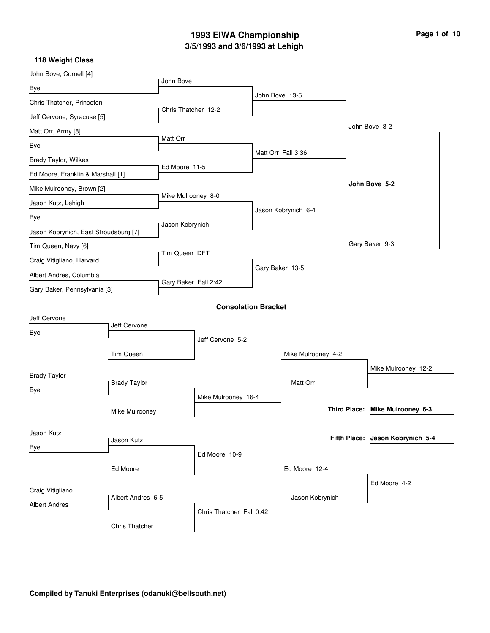# **3/5/1993 and 3/6/1993 at Lehigh 1993 EIWA Championship Page 1 of 10**

| John Bove, Cornell [4]                |                     |                      |                            |                 |                     |                                  |
|---------------------------------------|---------------------|----------------------|----------------------------|-----------------|---------------------|----------------------------------|
| Bye                                   |                     | John Bove            |                            |                 |                     |                                  |
| Chris Thatcher, Princeton             |                     |                      |                            | John Bove 13-5  |                     |                                  |
| Jeff Cervone, Syracuse [5]            |                     | Chris Thatcher 12-2  |                            |                 |                     |                                  |
| Matt Orr, Army [8]                    |                     |                      |                            |                 |                     | John Bove 8-2                    |
| Bye                                   |                     | Matt Orr             |                            |                 |                     |                                  |
| <b>Brady Taylor, Wilkes</b>           |                     |                      |                            |                 | Matt Orr Fall 3:36  |                                  |
| Ed Moore, Franklin & Marshall [1]     |                     | Ed Moore 11-5        |                            |                 |                     |                                  |
| Mike Mulrooney, Brown [2]             |                     |                      |                            |                 |                     | John Bove 5-2                    |
| Jason Kutz, Lehigh                    |                     | Mike Mulrooney 8-0   |                            |                 |                     |                                  |
| Bye                                   |                     |                      |                            |                 | Jason Kobrynich 6-4 |                                  |
| Jason Kobrynich, East Stroudsburg [7] |                     | Jason Kobrynich      |                            |                 |                     |                                  |
| Tim Queen, Navy [6]                   |                     |                      |                            |                 |                     | Gary Baker 9-3                   |
| Craig Vitigliano, Harvard             |                     | Tim Queen DFT        |                            |                 |                     |                                  |
| Albert Andres, Columbia               |                     |                      |                            | Gary Baker 13-5 |                     |                                  |
| Gary Baker, Pennsylvania [3]          |                     | Gary Baker Fall 2:42 |                            |                 |                     |                                  |
|                                       |                     |                      | <b>Consolation Bracket</b> |                 |                     |                                  |
| Jeff Cervone                          |                     |                      |                            |                 |                     |                                  |
| Bye                                   | Jeff Cervone        |                      |                            |                 |                     |                                  |
|                                       |                     |                      | Jeff Cervone 5-2           |                 |                     |                                  |
|                                       | Tim Queen           |                      |                            |                 | Mike Mulrooney 4-2  |                                  |
| <b>Brady Taylor</b>                   |                     |                      |                            |                 |                     | Mike Mulrooney 12-2              |
| Bye                                   | <b>Brady Taylor</b> |                      |                            |                 | Matt Orr            |                                  |
|                                       |                     |                      | Mike Mulrooney 16-4        |                 |                     |                                  |
|                                       | Mike Mulrooney      |                      |                            |                 |                     | Third Place: Mike Mulrooney 6-3  |
| Jason Kutz                            |                     |                      |                            |                 |                     |                                  |
| Bye                                   | Jason Kutz          |                      |                            |                 |                     | Fifth Place: Jason Kobrynich 5-4 |
|                                       |                     |                      | Ed Moore 10-9              |                 |                     |                                  |
|                                       | Ed Moore            |                      |                            |                 | Ed Moore 12-4       |                                  |
| Craig Vitigliano                      |                     |                      |                            |                 |                     | Ed Moore 4-2                     |
| <b>Albert Andres</b>                  | Albert Andres 6-5   |                      |                            |                 | Jason Kobrynich     |                                  |
|                                       |                     |                      | Chris Thatcher Fall 0:42   |                 |                     |                                  |
|                                       | Chris Thatcher      |                      |                            |                 |                     |                                  |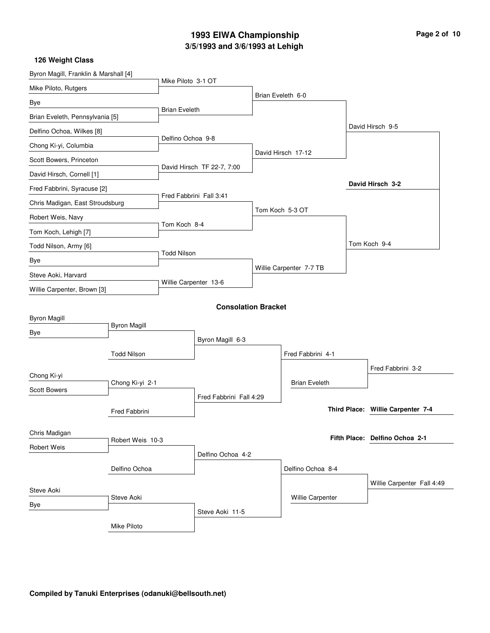# **3/5/1993 and 3/6/1993 at Lehigh 1993 EIWA Championship Page 2 of 10**

| Byron Magill, Franklin & Marshall [4] |                     |                       |                            |                         |  |                                   |
|---------------------------------------|---------------------|-----------------------|----------------------------|-------------------------|--|-----------------------------------|
| Mike Piloto, Rutgers                  |                     | Mike Piloto 3-1 OT    |                            |                         |  |                                   |
| Bye                                   |                     |                       |                            | Brian Eveleth 6-0       |  |                                   |
| Brian Eveleth, Pennsylvania [5]       |                     | <b>Brian Eveleth</b>  |                            |                         |  |                                   |
| Delfino Ochoa, Wilkes [8]             |                     |                       |                            |                         |  | David Hirsch 9-5                  |
| Chong Ki-yi, Columbia                 |                     | Delfino Ochoa 9-8     |                            |                         |  |                                   |
| Scott Bowers, Princeton               |                     |                       |                            | David Hirsch 17-12      |  |                                   |
| David Hirsch, Cornell [1]             |                     |                       | David Hirsch TF 22-7, 7:00 |                         |  |                                   |
| Fred Fabbrini, Syracuse [2]           |                     |                       |                            |                         |  | David Hirsch 3-2                  |
| Chris Madigan, East Stroudsburg       |                     |                       | Fred Fabbrini Fall 3:41    |                         |  |                                   |
| Robert Weis, Navy                     |                     | Tom Koch 8-4          |                            | Tom Koch 5-3 OT         |  |                                   |
| Tom Koch, Lehigh [7]                  |                     |                       |                            |                         |  |                                   |
| Todd Nilson, Army [6]                 |                     |                       |                            |                         |  | Tom Koch 9-4                      |
| Bye                                   |                     | <b>Todd Nilson</b>    |                            |                         |  |                                   |
| Steve Aoki, Harvard                   |                     |                       |                            | Willie Carpenter 7-7 TB |  |                                   |
| Willie Carpenter, Brown [3]           |                     | Willie Carpenter 13-6 |                            |                         |  |                                   |
|                                       |                     |                       | <b>Consolation Bracket</b> |                         |  |                                   |
| <b>Byron Magill</b>                   |                     |                       |                            |                         |  |                                   |
| Bye                                   | <b>Byron Magill</b> |                       |                            |                         |  |                                   |
|                                       |                     |                       | Byron Magill 6-3           |                         |  |                                   |
|                                       | <b>Todd Nilson</b>  |                       |                            | Fred Fabbrini 4-1       |  |                                   |
| Chong Ki-yi                           |                     |                       |                            |                         |  | Fred Fabbrini 3-2                 |
| <b>Scott Bowers</b>                   | Chong Ki-yi 2-1     |                       |                            | <b>Brian Eveleth</b>    |  |                                   |
|                                       |                     |                       | Fred Fabbrini Fall 4:29    |                         |  | Third Place: Willie Carpenter 7-4 |
|                                       | Fred Fabbrini       |                       |                            |                         |  |                                   |
| Chris Madigan                         |                     |                       |                            |                         |  | Fifth Place: Delfino Ochoa 2-1    |
| Robert Weis                           | Robert Weis 10-3    |                       |                            |                         |  |                                   |
|                                       | Delfino Ochoa       |                       | Delfino Ochoa 4-2          | Delfino Ochoa 8-4       |  |                                   |
|                                       |                     |                       |                            |                         |  |                                   |
| Steve Aoki                            |                     |                       |                            |                         |  | Willie Carpenter Fall 4:49        |
| Bye                                   | Steve Aoki          |                       |                            | Willie Carpenter        |  |                                   |
|                                       |                     |                       | Steve Aoki 11-5            |                         |  |                                   |
|                                       | Mike Piloto         |                       |                            |                         |  |                                   |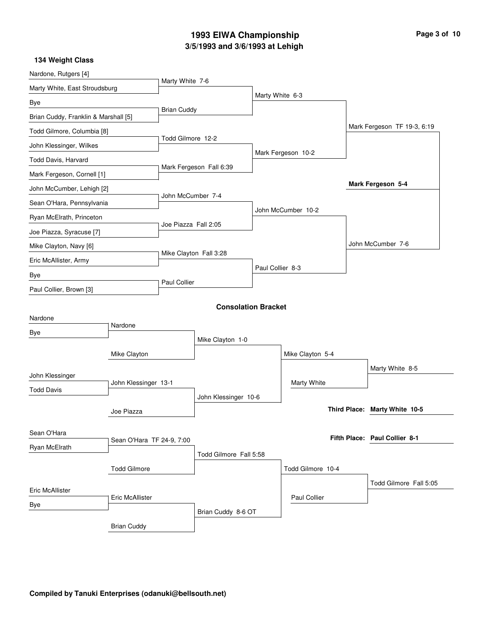# **3/5/1993 and 3/6/1993 at Lehigh 1993 EIWA Championship Page 3 of 10**

| Nardone, Rutgers [4]                 |                           |                      |                            |                  |                     |                               |
|--------------------------------------|---------------------------|----------------------|----------------------------|------------------|---------------------|-------------------------------|
| Marty White, East Stroudsburg        |                           | Marty White 7-6      |                            |                  |                     |                               |
| Bye                                  |                           |                      |                            | Marty White 6-3  |                     |                               |
| Brian Cuddy, Franklin & Marshall [5] |                           | <b>Brian Cuddy</b>   |                            |                  |                     |                               |
| Todd Gilmore, Columbia [8]           |                           |                      |                            |                  |                     | Mark Fergeson TF 19-3, 6:19   |
| John Klessinger, Wilkes              |                           | Todd Gilmore 12-2    |                            |                  |                     |                               |
| Todd Davis, Harvard                  |                           |                      |                            |                  | Mark Fergeson 10-2  |                               |
| Mark Fergeson, Cornell [1]           |                           |                      | Mark Fergeson Fall 6:39    |                  |                     |                               |
| John McCumber, Lehigh [2]            |                           |                      |                            |                  |                     | Mark Fergeson 5-4             |
| Sean O'Hara, Pennsylvania            |                           | John McCumber 7-4    |                            |                  |                     |                               |
| Ryan McElrath, Princeton             |                           |                      |                            |                  | John McCumber 10-2  |                               |
| Joe Piazza, Syracuse [7]             |                           | Joe Piazza Fall 2:05 |                            |                  |                     |                               |
| Mike Clayton, Navy [6]               |                           |                      |                            |                  |                     | John McCumber 7-6             |
| Eric McAllister, Army                |                           |                      | Mike Clayton Fall 3:28     |                  |                     |                               |
| Bye                                  |                           |                      |                            | Paul Collier 8-3 |                     |                               |
| Paul Collier, Brown [3]              |                           | Paul Collier         |                            |                  |                     |                               |
|                                      |                           |                      | <b>Consolation Bracket</b> |                  |                     |                               |
| Nardone                              |                           |                      |                            |                  |                     |                               |
| Bye                                  | Nardone                   |                      |                            |                  |                     |                               |
|                                      |                           |                      | Mike Clayton 1-0           |                  |                     |                               |
|                                      | Mike Clayton              |                      |                            |                  | Mike Clayton 5-4    |                               |
| John Klessinger                      |                           |                      |                            |                  |                     | Marty White 8-5               |
| <b>Todd Davis</b>                    | John Klessinger 13-1      |                      |                            |                  | Marty White         |                               |
|                                      |                           |                      | John Klessinger 10-6       |                  |                     |                               |
|                                      | Joe Piazza                |                      |                            |                  |                     | Third Place: Marty White 10-5 |
| Sean O'Hara                          |                           |                      |                            |                  |                     | Fifth Place: Paul Collier 8-1 |
| Ryan McElrath                        | Sean O'Hara TF 24-9, 7:00 |                      |                            |                  |                     |                               |
|                                      |                           |                      | Todd Gilmore Fall 5:58     |                  |                     |                               |
|                                      | <b>Todd Gilmore</b>       |                      |                            |                  | Todd Gilmore 10-4   |                               |
| Eric McAllister                      |                           |                      |                            |                  |                     | Todd Gilmore Fall 5:05        |
| Bye                                  | <b>Eric McAllister</b>    |                      |                            |                  | <b>Paul Collier</b> |                               |
|                                      |                           |                      | Brian Cuddy 8-6 OT         |                  |                     |                               |
|                                      | <b>Brian Cuddy</b>        |                      |                            |                  |                     |                               |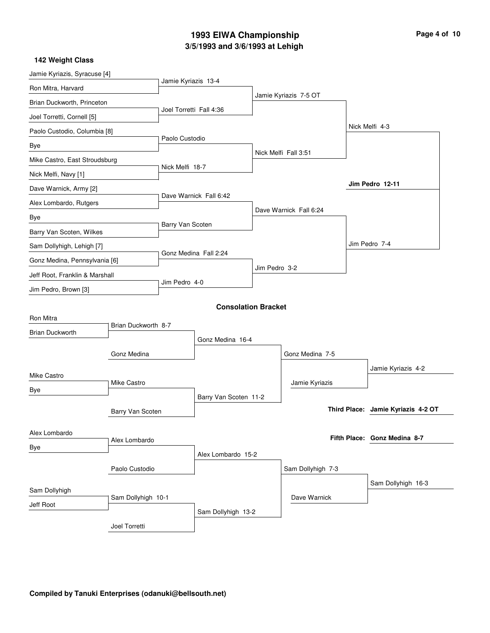# **3/5/1993 and 3/6/1993 at Lehigh 1993 EIWA Championship**

| Page 4 of 10 |  |  |  |  |  |
|--------------|--|--|--|--|--|
|--------------|--|--|--|--|--|

| Jamie Kyriazis, Syracuse [4]   |                     |                         |                            |               |                        |                                    |
|--------------------------------|---------------------|-------------------------|----------------------------|---------------|------------------------|------------------------------------|
| Ron Mitra, Harvard             |                     | Jamie Kyriazis 13-4     |                            |               |                        |                                    |
| Brian Duckworth, Princeton     |                     |                         |                            |               | Jamie Kyriazis 7-5 OT  |                                    |
| Joel Torretti, Cornell [5]     |                     | Joel Torretti Fall 4:36 |                            |               |                        |                                    |
| Paolo Custodio, Columbia [8]   |                     |                         |                            |               |                        | Nick Melfi 4-3                     |
| Bye                            |                     | Paolo Custodio          |                            |               |                        |                                    |
| Mike Castro, East Stroudsburg  |                     |                         |                            |               | Nick Melfi Fall 3:51   |                                    |
| Nick Melfi, Navy [1]           |                     | Nick Melfi 18-7         |                            |               |                        |                                    |
| Dave Warnick, Army [2]         |                     |                         |                            |               |                        | Jim Pedro 12-11                    |
| Alex Lombardo, Rutgers         |                     |                         | Dave Warnick Fall 6:42     |               |                        |                                    |
| Bye                            |                     |                         |                            |               | Dave Warnick Fall 6:24 |                                    |
| Barry Van Scoten, Wilkes       |                     | Barry Van Scoten        |                            |               |                        |                                    |
| Sam Dollyhigh, Lehigh [7]      |                     |                         |                            |               |                        | Jim Pedro 7-4                      |
| Gonz Medina, Pennsylvania [6]  |                     | Gonz Medina Fall 2:24   |                            |               |                        |                                    |
| Jeff Root, Franklin & Marshall |                     |                         |                            | Jim Pedro 3-2 |                        |                                    |
| Jim Pedro, Brown [3]           |                     | Jim Pedro 4-0           |                            |               |                        |                                    |
|                                |                     |                         | <b>Consolation Bracket</b> |               |                        |                                    |
| Ron Mitra                      |                     |                         |                            |               |                        |                                    |
| <b>Brian Duckworth</b>         | Brian Duckworth 8-7 |                         |                            |               |                        |                                    |
|                                |                     |                         | Gonz Medina 16-4           |               |                        |                                    |
|                                | Gonz Medina         |                         |                            |               | Gonz Medina 7-5        |                                    |
| Mike Castro                    |                     |                         |                            |               |                        | Jamie Kyriazis 4-2                 |
| Bye                            | Mike Castro         |                         |                            |               | Jamie Kyriazis         |                                    |
|                                |                     |                         | Barry Van Scoten 11-2      |               |                        | Third Place: Jamie Kyriazis 4-2 OT |
|                                | Barry Van Scoten    |                         |                            |               |                        |                                    |
| Alex Lombardo                  |                     |                         |                            |               |                        | Fifth Place: Gonz Medina 8-7       |
| Bye                            | Alex Lombardo       |                         |                            |               |                        |                                    |
|                                |                     |                         | Alex Lombardo 15-2         |               |                        |                                    |
|                                | Paolo Custodio      |                         |                            |               | Sam Dollyhigh 7-3      |                                    |
| Sam Dollyhigh                  |                     |                         |                            |               |                        | Sam Dollyhigh 16-3                 |
| Jeff Root                      | Sam Dollyhigh 10-1  |                         |                            |               | Dave Warnick           |                                    |
|                                |                     |                         | Sam Dollyhigh 13-2         |               |                        |                                    |
|                                | Joel Torretti       |                         |                            |               |                        |                                    |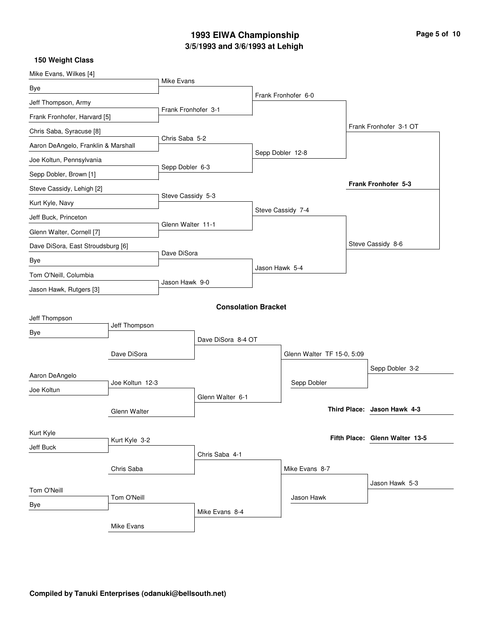# **3/5/1993 and 3/6/1993 at Lehigh 1993 EIWA Championship Page 5 of 10**

| Mike Evans, Wilkes [4]              |                 |                     |                            |                |                            |                                |
|-------------------------------------|-----------------|---------------------|----------------------------|----------------|----------------------------|--------------------------------|
| Bye                                 |                 | Mike Evans          |                            |                |                            |                                |
| Jeff Thompson, Army                 |                 |                     |                            |                | Frank Fronhofer 6-0        |                                |
| Frank Fronhofer, Harvard [5]        |                 | Frank Fronhofer 3-1 |                            |                |                            |                                |
| Chris Saba, Syracuse [8]            |                 |                     |                            |                |                            | Frank Fronhofer 3-1 OT         |
| Aaron DeAngelo, Franklin & Marshall |                 | Chris Saba 5-2      |                            |                |                            |                                |
| Joe Koltun, Pennsylvania            |                 |                     |                            |                | Sepp Dobler 12-8           |                                |
| Sepp Dobler, Brown [1]              |                 | Sepp Dobler 6-3     |                            |                |                            |                                |
| Steve Cassidy, Lehigh [2]           |                 |                     |                            |                |                            | <b>Frank Fronhofer 5-3</b>     |
| Kurt Kyle, Navy                     |                 | Steve Cassidy 5-3   |                            |                |                            |                                |
| Jeff Buck, Princeton                |                 |                     |                            |                | Steve Cassidy 7-4          |                                |
| Glenn Walter, Cornell [7]           |                 | Glenn Walter 11-1   |                            |                |                            |                                |
| Dave DiSora, East Stroudsburg [6]   |                 |                     |                            |                |                            | Steve Cassidy 8-6              |
| Bye                                 |                 | Dave DiSora         |                            |                |                            |                                |
| Tom O'Neill, Columbia               |                 |                     |                            | Jason Hawk 5-4 |                            |                                |
| Jason Hawk, Rutgers [3]             |                 | Jason Hawk 9-0      |                            |                |                            |                                |
|                                     |                 |                     | <b>Consolation Bracket</b> |                |                            |                                |
| Jeff Thompson                       |                 |                     |                            |                |                            |                                |
| Bye                                 | Jeff Thompson   |                     |                            |                |                            |                                |
|                                     |                 |                     | Dave DiSora 8-4 OT         |                |                            |                                |
|                                     | Dave DiSora     |                     |                            |                | Glenn Walter TF 15-0, 5:09 |                                |
| Aaron DeAngelo                      |                 |                     |                            |                |                            | Sepp Dobler 3-2                |
| Joe Koltun                          | Joe Koltun 12-3 |                     |                            |                | Sepp Dobler                |                                |
|                                     |                 |                     | Glenn Walter 6-1           |                |                            |                                |
|                                     | Glenn Walter    |                     |                            |                |                            | Third Place: Jason Hawk 4-3    |
| Kurt Kyle                           |                 |                     |                            |                |                            |                                |
| Jeff Buck                           | Kurt Kyle 3-2   |                     |                            |                |                            | Fifth Place: Glenn Walter 13-5 |
|                                     |                 |                     | Chris Saba 4-1             |                |                            |                                |
|                                     | Chris Saba      |                     |                            |                | Mike Evans 8-7             |                                |
| Tom O'Neill                         |                 |                     |                            |                |                            | Jason Hawk 5-3                 |
| Bye                                 | Tom O'Neill     |                     |                            |                | Jason Hawk                 |                                |
|                                     |                 |                     | Mike Evans 8-4             |                |                            |                                |
|                                     | Mike Evans      |                     |                            |                |                            |                                |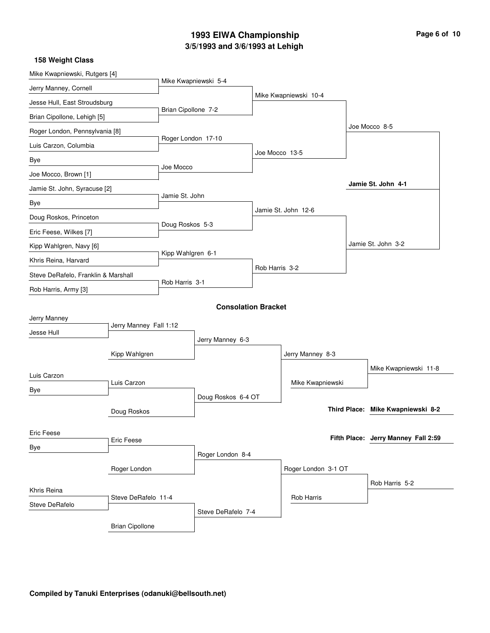# **3/5/1993 and 3/6/1993 at Lehigh 1993 EIWA Championship Page 6 of 10**

| Mike Kwapniewski, Rutgers [4]       |                        |                     |                            |                |                       |                     |                                     |
|-------------------------------------|------------------------|---------------------|----------------------------|----------------|-----------------------|---------------------|-------------------------------------|
| Jerry Manney, Cornell               |                        |                     | Mike Kwapniewski 5-4       |                |                       |                     |                                     |
| Jesse Hull, East Stroudsburg        |                        |                     |                            |                | Mike Kwapniewski 10-4 |                     |                                     |
| Brian Cipollone, Lehigh [5]         |                        | Brian Cipollone 7-2 |                            |                |                       |                     |                                     |
| Roger London, Pennsylvania [8]      |                        |                     |                            |                |                       |                     | Joe Mocco 8-5                       |
| Luis Carzon, Columbia               |                        | Roger London 17-10  |                            | Joe Mocco 13-5 |                       |                     |                                     |
| Bye                                 |                        | Joe Mocco           |                            |                |                       |                     |                                     |
| Joe Mocco, Brown [1]                |                        |                     |                            |                |                       |                     |                                     |
| Jamie St. John, Syracuse [2]        |                        | Jamie St. John      |                            |                |                       |                     | Jamie St. John 4-1                  |
| Bye                                 |                        |                     |                            |                | Jamie St. John 12-6   |                     |                                     |
| Doug Roskos, Princeton              |                        | Doug Roskos 5-3     |                            |                |                       |                     |                                     |
| Eric Feese, Wilkes [7]              |                        |                     |                            |                |                       |                     |                                     |
| Kipp Wahlgren, Navy [6]             |                        | Kipp Wahlgren 6-1   |                            |                |                       |                     | Jamie St. John 3-2                  |
| Khris Reina, Harvard                |                        |                     |                            | Rob Harris 3-2 |                       |                     |                                     |
| Steve DeRafelo, Franklin & Marshall |                        | Rob Harris 3-1      |                            |                |                       |                     |                                     |
| Rob Harris, Army [3]                |                        |                     |                            |                |                       |                     |                                     |
|                                     |                        |                     | <b>Consolation Bracket</b> |                |                       |                     |                                     |
| Jerry Manney                        | Jerry Manney Fall 1:12 |                     |                            |                |                       |                     |                                     |
| Jesse Hull                          |                        |                     | Jerry Manney 6-3           |                |                       |                     |                                     |
|                                     | Kipp Wahlgren          |                     |                            |                | Jerry Manney 8-3      |                     |                                     |
|                                     |                        |                     |                            |                |                       |                     | Mike Kwapniewski 11-8               |
| Luis Carzon                         | Luis Carzon            |                     |                            |                | Mike Kwapniewski      |                     |                                     |
| Bye                                 |                        |                     | Doug Roskos 6-4 OT         |                |                       |                     |                                     |
|                                     | Doug Roskos            |                     |                            |                |                       | <b>Third Place:</b> | Mike Kwapniewski 8-2                |
|                                     |                        |                     |                            |                |                       |                     |                                     |
| Eric Feese                          | Eric Feese             |                     |                            |                |                       |                     | Fifth Place: Jerry Manney Fall 2:59 |
| Bye                                 |                        |                     | Roger London 8-4           |                |                       |                     |                                     |
|                                     | Roger London           |                     |                            |                | Roger London 3-1 OT   |                     |                                     |
|                                     |                        |                     |                            |                |                       |                     | Rob Harris 5-2                      |
| Khris Reina                         | Steve DeRafelo 11-4    |                     |                            |                | <b>Rob Harris</b>     |                     |                                     |
| <b>Steve DeRafelo</b>               |                        |                     | Steve DeRafelo 7-4         |                |                       |                     |                                     |
|                                     | <b>Brian Cipollone</b> |                     |                            |                |                       |                     |                                     |
|                                     |                        |                     |                            |                |                       |                     |                                     |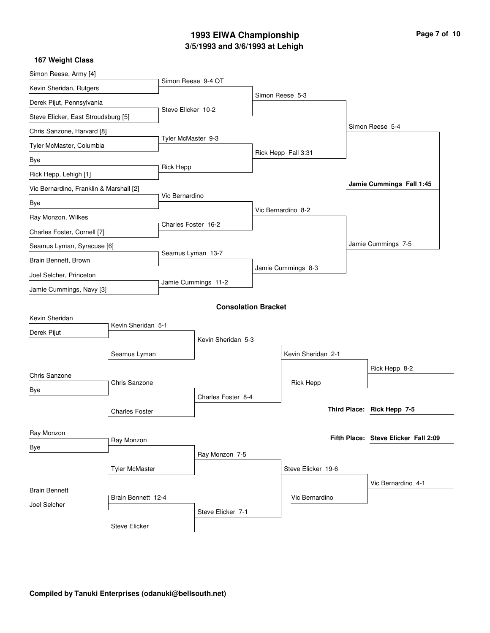# **3/5/1993 and 3/6/1993 at Lehigh 1993 EIWA Championship**

| Page 7 of 10 |
|--------------|
|--------------|

| 167 Weight Class                        |                       |                     |                            |                     |                                      |
|-----------------------------------------|-----------------------|---------------------|----------------------------|---------------------|--------------------------------------|
| Simon Reese, Army [4]                   |                       | Simon Reese 9-4 OT  |                            |                     |                                      |
| Kevin Sheridan, Rutgers                 |                       |                     |                            | Simon Reese 5-3     |                                      |
| Derek Pijut, Pennsylvania               |                       |                     |                            |                     |                                      |
| Steve Elicker, East Stroudsburg [5]     |                       | Steve Elicker 10-2  |                            |                     |                                      |
| Chris Sanzone, Harvard [8]              |                       |                     |                            |                     | Simon Reese 5-4                      |
| Tyler McMaster, Columbia                |                       | Tyler McMaster 9-3  |                            |                     |                                      |
| Bye                                     |                       |                     |                            | Rick Hepp Fall 3:31 |                                      |
| Rick Hepp, Lehigh [1]                   |                       | Rick Hepp           |                            |                     |                                      |
| Vic Bernardino, Franklin & Marshall [2] |                       |                     |                            |                     | Jamie Cummings Fall 1:45             |
| Bye                                     |                       | Vic Bernardino      |                            |                     |                                      |
| Ray Monzon, Wilkes                      |                       |                     |                            | Vic Bernardino 8-2  |                                      |
| Charles Foster, Cornell [7]             |                       | Charles Foster 16-2 |                            |                     |                                      |
| Seamus Lyman, Syracuse [6]              |                       |                     |                            |                     | Jamie Cummings 7-5                   |
| Brain Bennett, Brown                    |                       | Seamus Lyman 13-7   |                            |                     |                                      |
| Joel Selcher, Princeton                 |                       |                     |                            | Jamie Cummings 8-3  |                                      |
| Jamie Cummings, Navy [3]                |                       |                     | Jamie Cummings 11-2        |                     |                                      |
|                                         |                       |                     | <b>Consolation Bracket</b> |                     |                                      |
| Kevin Sheridan                          |                       |                     |                            |                     |                                      |
| Derek Pijut                             | Kevin Sheridan 5-1    |                     |                            |                     |                                      |
|                                         |                       |                     | Kevin Sheridan 5-3         |                     |                                      |
|                                         | Seamus Lyman          |                     |                            | Kevin Sheridan 2-1  |                                      |
| Chris Sanzone                           |                       |                     |                            |                     | Rick Hepp 8-2                        |
| Bye                                     | Chris Sanzone         |                     |                            | Rick Hepp           |                                      |
|                                         |                       |                     | Charles Foster 8-4         |                     |                                      |
|                                         | <b>Charles Foster</b> |                     |                            |                     | Third Place: Rick Hepp 7-5           |
| Ray Monzon                              |                       |                     |                            |                     |                                      |
| Bye                                     | Ray Monzon            |                     |                            |                     | Fifth Place: Steve Elicker Fall 2:09 |
|                                         |                       |                     | Ray Monzon 7-5             |                     |                                      |
|                                         | <b>Tyler McMaster</b> |                     |                            | Steve Elicker 19-6  |                                      |
| <b>Brain Bennett</b>                    |                       |                     |                            |                     | Vic Bernardino 4-1                   |
| Joel Selcher                            | Brain Bennett 12-4    |                     |                            | Vic Bernardino      |                                      |
|                                         |                       |                     | Steve Elicker 7-1          |                     |                                      |
|                                         | <b>Steve Elicker</b>  |                     |                            |                     |                                      |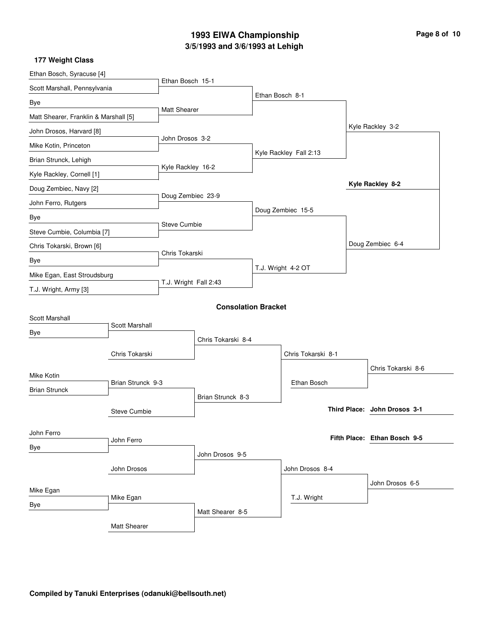# **3/5/1993 and 3/6/1993 at Lehigh 1993 EIWA Championship Page 8 of 10**

| Ethan Bosch, Syracuse [4]                 |                |                       |                            |                    |                        |  |                              |  |
|-------------------------------------------|----------------|-----------------------|----------------------------|--------------------|------------------------|--|------------------------------|--|
| Scott Marshall, Pennsylvania              |                | Ethan Bosch 15-1      |                            |                    |                        |  |                              |  |
| Bye                                       |                |                       |                            | Ethan Bosch 8-1    |                        |  |                              |  |
| Matt Shearer, Franklin & Marshall [5]     |                | Matt Shearer          |                            |                    |                        |  |                              |  |
| John Drosos, Harvard [8]                  |                |                       |                            |                    |                        |  | Kyle Rackley 3-2             |  |
| Mike Kotin, Princeton                     |                | John Drosos 3-2       |                            |                    |                        |  |                              |  |
| Brian Strunck, Lehigh                     |                |                       |                            |                    | Kyle Rackley Fall 2:13 |  |                              |  |
| Kyle Rackley, Cornell [1]                 |                | Kyle Rackley 16-2     |                            |                    |                        |  |                              |  |
| Doug Zembiec, Navy [2]                    |                |                       |                            |                    |                        |  | Kyle Rackley 8-2             |  |
| John Ferro, Rutgers                       |                | Doug Zembiec 23-9     |                            |                    |                        |  |                              |  |
| Bye                                       |                |                       |                            |                    | Doug Zembiec 15-5      |  |                              |  |
| Steve Cumbie, Columbia [7]                |                | Steve Cumbie          |                            |                    |                        |  |                              |  |
| Chris Tokarski, Brown [6]                 |                |                       |                            |                    |                        |  | Doug Zembiec 6-4             |  |
| Bye                                       |                | Chris Tokarski        |                            |                    |                        |  |                              |  |
| Mike Egan, East Stroudsburg               |                |                       |                            | T.J. Wright 4-2 OT |                        |  |                              |  |
| T.J. Wright, Army [3]                     |                | T.J. Wright Fall 2:43 |                            |                    |                        |  |                              |  |
|                                           |                |                       | <b>Consolation Bracket</b> |                    |                        |  |                              |  |
| Scott Marshall                            |                |                       |                            |                    |                        |  |                              |  |
| Bye                                       | Scott Marshall |                       | Chris Tokarski 8-4         |                    |                        |  |                              |  |
|                                           |                |                       |                            |                    |                        |  |                              |  |
|                                           | Chris Tokarski |                       |                            |                    | Chris Tokarski 8-1     |  |                              |  |
| Mike Kotin                                |                |                       |                            |                    | Ethan Bosch            |  | Chris Tokarski 8-6           |  |
| Brian Strunck 9-3<br><b>Brian Strunck</b> |                | Brian Strunck 8-3     |                            |                    |                        |  |                              |  |
| <b>Steve Cumbie</b>                       |                |                       |                            |                    |                        |  | Third Place: John Drosos 3-1 |  |
|                                           |                |                       |                            |                    |                        |  |                              |  |
| John Ferro                                | John Ferro     |                       |                            |                    |                        |  | Fifth Place: Ethan Bosch 9-5 |  |
| Bye                                       |                |                       | John Drosos 9-5            |                    |                        |  |                              |  |
|                                           | John Drosos    |                       |                            |                    | John Drosos 8-4        |  |                              |  |
|                                           |                |                       |                            |                    |                        |  | John Drosos 6-5              |  |
| Mike Egan                                 | Mike Egan      |                       |                            |                    | T.J. Wright            |  |                              |  |
| Bye                                       |                |                       | Matt Shearer 8-5           |                    |                        |  |                              |  |
|                                           | Matt Shearer   |                       |                            |                    |                        |  |                              |  |
|                                           |                |                       |                            |                    |                        |  |                              |  |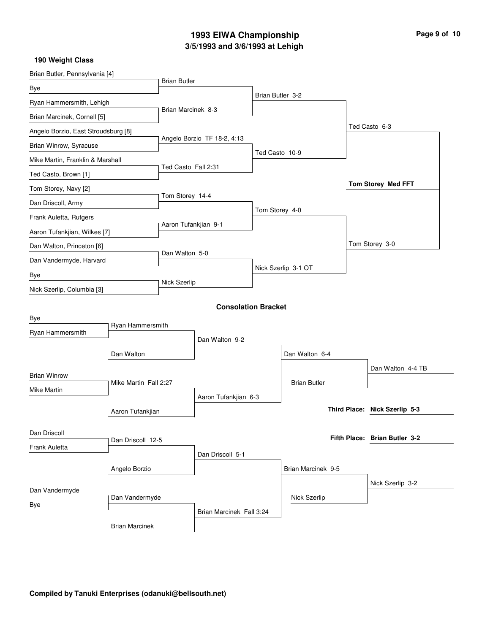# **3/5/1993 and 3/6/1993 at Lehigh 1993 EIWA Championship Page 9 of 10**

| Brian Butler, Pennsylvania [4]                           |                       | <b>Brian Butler</b>  |                             |                    |                     |  |                               |
|----------------------------------------------------------|-----------------------|----------------------|-----------------------------|--------------------|---------------------|--|-------------------------------|
| Bye                                                      |                       |                      |                             |                    |                     |  |                               |
| Ryan Hammersmith, Lehigh                                 |                       |                      |                             | Brian Butler 3-2   |                     |  |                               |
| Brian Marcinek, Cornell [5]                              |                       | Brian Marcinek 8-3   |                             |                    |                     |  |                               |
| Angelo Borzio, East Stroudsburg [8]                      |                       |                      |                             |                    |                     |  | Ted Casto 6-3                 |
| Brian Winrow, Syracuse                                   |                       |                      | Angelo Borzio TF 18-2, 4:13 |                    |                     |  |                               |
| Mike Martin, Franklin & Marshall                         |                       |                      |                             | Ted Casto 10-9     |                     |  |                               |
| Ted Casto, Brown [1]                                     |                       | Ted Casto Fall 2:31  |                             |                    |                     |  |                               |
| Tom Storey, Navy [2]                                     |                       |                      |                             |                    |                     |  | <b>Tom Storey Med FFT</b>     |
| Dan Driscoll, Army                                       |                       | Tom Storey 14-4      |                             |                    |                     |  |                               |
| Frank Auletta, Rutgers                                   |                       |                      |                             |                    | Tom Storey 4-0      |  |                               |
| Aaron Tufankjian, Wilkes [7]                             |                       | Aaron Tufankjian 9-1 |                             |                    |                     |  |                               |
| Dan Walton, Princeton [6]                                |                       |                      |                             |                    |                     |  | Tom Storey 3-0                |
| Dan Vandermyde, Harvard                                  |                       | Dan Walton 5-0       |                             |                    |                     |  |                               |
| Bye                                                      |                       |                      |                             |                    | Nick Szerlip 3-1 OT |  |                               |
| Nick Szerlip, Columbia [3]                               |                       | Nick Szerlip         |                             |                    |                     |  |                               |
|                                                          |                       |                      | <b>Consolation Bracket</b>  |                    |                     |  |                               |
| Bye                                                      |                       |                      |                             |                    |                     |  |                               |
| Ryan Hammersmith                                         | Ryan Hammersmith      |                      |                             |                    |                     |  |                               |
|                                                          |                       |                      | Dan Walton 9-2              |                    |                     |  |                               |
|                                                          | Dan Walton            |                      |                             |                    | Dan Walton 6-4      |  |                               |
| <b>Brian Winrow</b>                                      |                       |                      |                             |                    |                     |  | Dan Walton 4-4 TB             |
| Mike Martin Fall 2:27<br>Mike Martin<br>Aaron Tufankjian |                       |                      |                             |                    | <b>Brian Butler</b> |  |                               |
|                                                          |                       | Aaron Tufankjian 6-3 |                             |                    |                     |  |                               |
|                                                          |                       |                      |                             |                    |                     |  | Third Place: Nick Szerlip 5-3 |
| Dan Driscoll                                             |                       |                      |                             |                    |                     |  |                               |
| Dan Driscoll 12-5<br>Frank Auletta                       |                       |                      |                             |                    |                     |  | Fifth Place: Brian Butler 3-2 |
|                                                          |                       |                      | Dan Driscoll 5-1            |                    |                     |  |                               |
| Angelo Borzio                                            |                       |                      |                             | Brian Marcinek 9-5 |                     |  |                               |
| Dan Vandermyde                                           |                       |                      |                             |                    |                     |  | Nick Szerlip 3-2              |
| Dan Vandermyde<br>Bye                                    |                       |                      |                             |                    | Nick Szerlip        |  |                               |
|                                                          |                       |                      | Brian Marcinek Fall 3:24    |                    |                     |  |                               |
|                                                          | <b>Brian Marcinek</b> |                      |                             |                    |                     |  |                               |